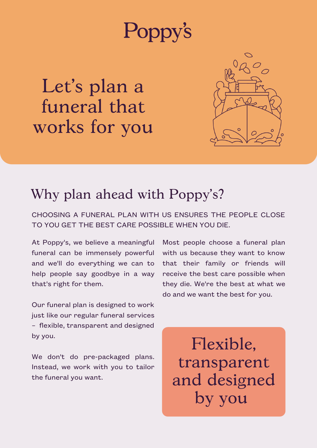# **Poppy's**

Let' s plan a funeral that works for you



#### Why plan ahead with Poppy 's?

CHOOSING A FUNERAL PLAN WITH US ENSURES THE PEOPLE CLOSE TO YOU GET THE BEST CARE POSSIBLE WHEN YOU DIE.

At Poppy's, we believe a meaningful funeral can be immensely powerful and we'll do everything we can to help people say goodbye in a way that's right for them.

Our funeral plan is designed to work just like our regular funeral services – flexible, transparent and designed by you.

We don't do pre-packaged plans. Instead, we work with you to tailor the funeral you want.

Most people choose a funeral plan with us because they want to know that their family or friends will receive the best care possible when they die. We're the best at what we do and we want the best for you.

Flexible, transparent and designed by you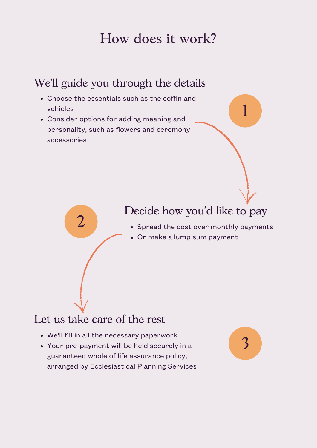# How does it work?

## We 'll guide you through the details

- Choose the essentials such as the coffin and vehicles
- Consider options for adding meaning and personality, such as flowers and ceremony accessories

### Decide how you 'd like to pay

- Spread the cost over monthly payments
- Or make a lump sum payment

### Let us take care of the rest

2

- We'll fill in all the necessary paperwork
- Your pre-payment will be held securely in a guaranteed whole of life assurance policy, arranged by Ecclesiastical Planning Services



1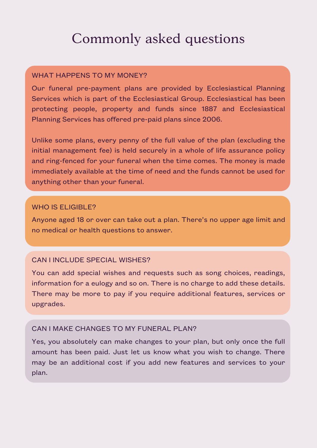# Commonly asked questions

#### WHAT HAPPENS TO MY MONEY?

Our funeral pre-payment plans are provided by Ecclesiastical Planning Services which is part of the Ecclesiastical Group. Ecclesiastical has been protecting people, property and funds since 1887 and Ecclesiastical Planning Services has offered pre-paid plans since 2006.

Unlike some plans, every penny of the full value of the plan (excluding the initial management fee) is held securely in a whole of life assurance policy and ring-fenced for your funeral when the time comes. The money is made immediately available at the time of need and the funds cannot be used for anything other than your funeral.

#### WHO IS ELIGIBLE?

Anyone aged 18 or over can take out a plan. There's no upper age limit and no medical or health questions to answer.

#### CAN I INCLUDE SPECIAL WISHES?

You can add special wishes and requests such as song choices, readings, information for a eulogy and so on. There is no charge to add these details. There may be more to pay if you require additional features, services or upgrades.

#### CAN I MAKE CHANGES TO MY FUNERAL PLAN?

Yes, you absolutely can make changes to your plan, but only once the full amount has been paid. Just let us know what you wish to change. There may be an additional cost if you add new features and services to your plan.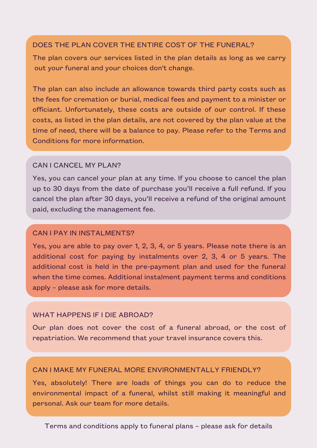#### DOES THE PLAN COVER THE ENTIRE COST OF THE FUNERAL?

The plan covers our services listed in the plan details as long as we carry out your funeral and your choices don't change.

The plan can also include an allowance towards third party costs such as the fees for cremation or burial, medical fees and payment to a minister or officiant. Unfortunately, these costs are outside of our control. If these costs, as listed in the plan details, are not covered by the plan value at the time of need, there will be a balance to pay. Please refer to the Terms and Conditions for more information.

#### CAN I CANCEL MY PLAN?

Yes, you can cancel your plan at any time. If you choose to cancel the plan up to 30 days from the date of purchase you'll receive a full refund. If you cancel the plan after 30 days, you'll receive a refund of the original amount paid, excluding the management fee.

#### CAN I PAY IN INSTALMENTS?

Yes, you are able to pay over 1, 2, 3, 4, or 5 years. Please note there is an additional cost for paying by instalments over 2, 3, 4 or 5 years. The additional cost is held in the pre-payment plan and used for the funeral when the time comes. Additional instalment payment terms and conditions apply – please ask for more details.

#### WHAT HAPPENS IF I DIE ABROAD?

Our plan does not cover the cost of a funeral abroad, or the cost of repatriation. We recommend that your travel insurance covers this.

#### CAN I MAKE MY FUNERAL MORE ENVIRONMENTALLY FRIENDLY?

Yes, absolutely! There are loads of things you can do to reduce the environmental impact of a funeral, whilst still making it meaningful and personal. Ask our team for more details.